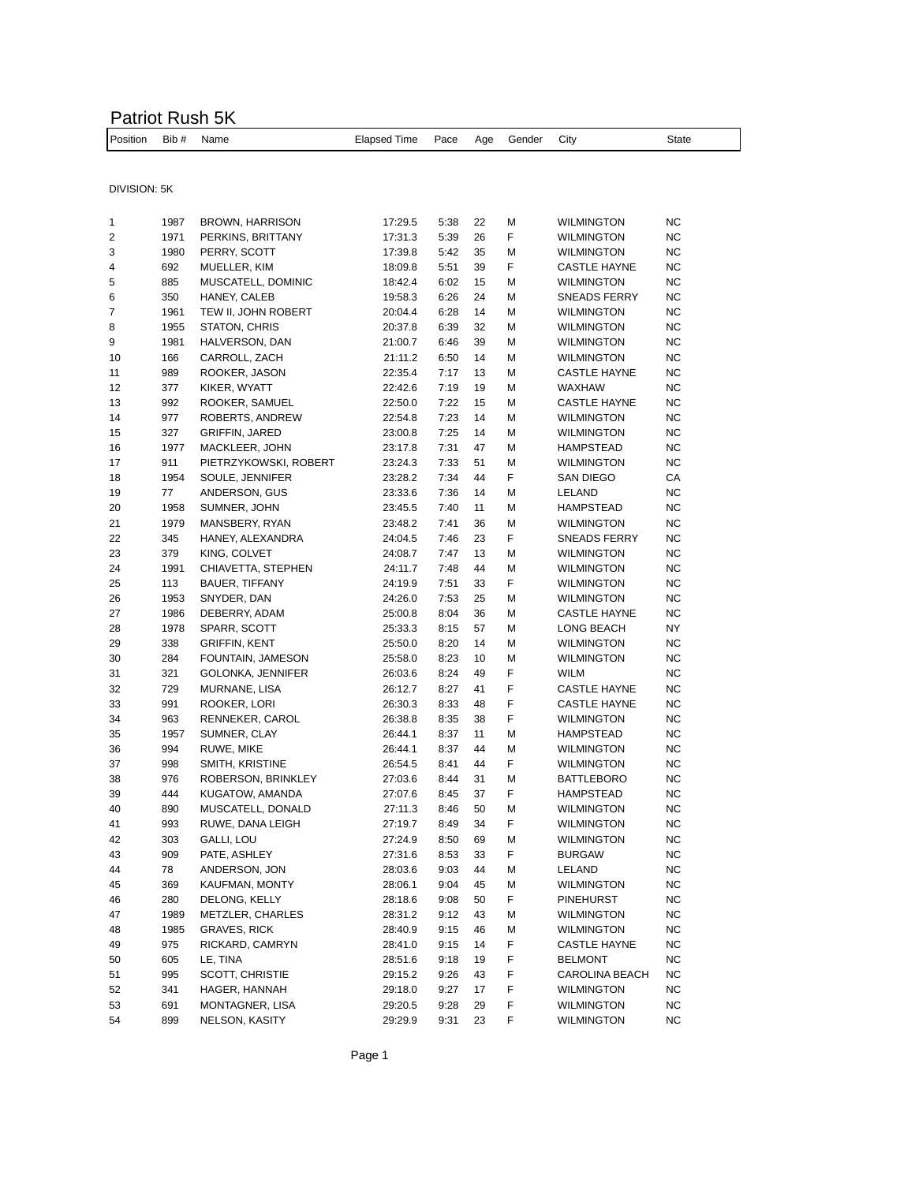## Patriot Rush 5K

| Position Bib # Name |  |  | Elapsed Time Pace Age Gender City |  |  |  |  | State |
|---------------------|--|--|-----------------------------------|--|--|--|--|-------|
|---------------------|--|--|-----------------------------------|--|--|--|--|-------|

DIVISION: 5K

| 1  | 1987 | <b>BROWN, HARRISON</b> | 17:29.5 | 5:38 | 22 | М | <b>WILMINGTON</b>     | ΝC        |
|----|------|------------------------|---------|------|----|---|-----------------------|-----------|
| 2  | 1971 | PERKINS, BRITTANY      | 17:31.3 | 5:39 | 26 | F | <b>WILMINGTON</b>     | NC        |
| 3  | 1980 | PERRY, SCOTT           | 17:39.8 | 5:42 | 35 | M | <b>WILMINGTON</b>     | <b>NC</b> |
| 4  | 692  | MUELLER, KIM           | 18:09.8 | 5:51 | 39 | F | <b>CASTLE HAYNE</b>   | <b>NC</b> |
| 5  | 885  | MUSCATELL, DOMINIC     | 18:42.4 | 6:02 | 15 | М | <b>WILMINGTON</b>     | NC        |
| 6  | 350  | HANEY, CALEB           | 19:58.3 | 6:26 | 24 | М | SNEADS FERRY          | <b>NC</b> |
| 7  | 1961 | TEW II, JOHN ROBERT    | 20:04.4 | 6:28 | 14 | М | <b>WILMINGTON</b>     | <b>NC</b> |
| 8  | 1955 | STATON, CHRIS          | 20:37.8 | 6:39 | 32 | М | <b>WILMINGTON</b>     | NC        |
| 9  | 1981 | HALVERSON, DAN         | 21:00.7 | 6:46 | 39 | М | <b>WILMINGTON</b>     | NC        |
| 10 | 166  | CARROLL, ZACH          | 21:11.2 | 6:50 | 14 | М | <b>WILMINGTON</b>     | NC        |
| 11 | 989  | ROOKER, JASON          | 22:35.4 | 7:17 | 13 | М | <b>CASTLE HAYNE</b>   | <b>NC</b> |
| 12 | 377  | KIKER, WYATT           | 22:42.6 | 7:19 | 19 | М | WAXHAW                | <b>NC</b> |
| 13 | 992  | ROOKER, SAMUEL         | 22:50.0 | 7:22 | 15 | М | <b>CASTLE HAYNE</b>   | NC        |
| 14 | 977  | ROBERTS, ANDREW        | 22:54.8 | 7:23 | 14 | М | <b>WILMINGTON</b>     | <b>NC</b> |
| 15 | 327  | <b>GRIFFIN, JARED</b>  | 23:00.8 | 7:25 | 14 | М | <b>WILMINGTON</b>     | NC        |
| 16 | 1977 | MACKLEER, JOHN         | 23:17.8 | 7:31 | 47 | М | HAMPSTEAD             | NC        |
| 17 | 911  | PIETRZYKOWSKI, ROBERT  | 23:24.3 | 7:33 | 51 | М | <b>WILMINGTON</b>     | <b>NC</b> |
| 18 | 1954 | SOULE, JENNIFER        | 23:28.2 | 7:34 | 44 | F | SAN DIEGO             | СA        |
| 19 | 77   | ANDERSON, GUS          | 23:33.6 | 7:36 | 14 | М | LELAND                | ΝC        |
| 20 | 1958 | SUMNER, JOHN           | 23:45.5 | 7:40 | 11 | М | <b>HAMPSTEAD</b>      | NC        |
| 21 | 1979 | MANSBERY, RYAN         | 23:48.2 | 7:41 | 36 | М | <b>WILMINGTON</b>     | <b>NC</b> |
| 22 | 345  | HANEY, ALEXANDRA       | 24:04.5 | 7:46 | 23 | F | SNEADS FERRY          | <b>NC</b> |
| 23 | 379  | KING, COLVET           | 24:08.7 | 7:47 | 13 | М | <b>WILMINGTON</b>     | NC        |
| 24 | 1991 | CHIAVETTA, STEPHEN     | 24:11.7 | 7:48 | 44 | М | <b>WILMINGTON</b>     | NC        |
| 25 | 113  | <b>BAUER, TIFFANY</b>  | 24:19.9 | 7:51 | 33 | F | <b>WILMINGTON</b>     | <b>NC</b> |
| 26 | 1953 | SNYDER, DAN            | 24:26.0 | 7:53 | 25 | М | <b>WILMINGTON</b>     | NC        |
| 27 | 1986 | DEBERRY, ADAM          | 25:00.8 | 8:04 | 36 | М | <b>CASTLE HAYNE</b>   | NC        |
| 28 | 1978 | SPARR, SCOTT           | 25:33.3 | 8:15 | 57 | М | LONG BEACH            | NY        |
| 29 | 338  | <b>GRIFFIN, KENT</b>   | 25:50.0 | 8:20 | 14 | M | <b>WILMINGTON</b>     | NC        |
| 30 | 284  | FOUNTAIN, JAMESON      | 25:58.0 | 8:23 | 10 | М | <b>WILMINGTON</b>     | NC        |
| 31 | 321  | GOLONKA, JENNIFER      | 26:03.6 | 8:24 | 49 | F | <b>WILM</b>           | <b>NC</b> |
| 32 | 729  | MURNANE, LISA          | 26:12.7 | 8:27 | 41 | F | <b>CASTLE HAYNE</b>   | NC        |
| 33 | 991  | ROOKER, LORI           | 26:30.3 | 8:33 | 48 | F | <b>CASTLE HAYNE</b>   | NC        |
| 34 | 963  | RENNEKER, CAROL        | 26:38.8 | 8:35 | 38 | F | <b>WILMINGTON</b>     | NC        |
| 35 | 1957 | SUMNER, CLAY           | 26:44.1 | 8:37 | 11 | M | <b>HAMPSTEAD</b>      | NC        |
| 36 | 994  | RUWE, MIKE             | 26:44.1 | 8:37 | 44 | М | <b>WILMINGTON</b>     | <b>NC</b> |
| 37 | 998  | SMITH, KRISTINE        | 26:54.5 | 8:41 | 44 | F | <b>WILMINGTON</b>     | NC        |
| 38 | 976  | ROBERSON, BRINKLEY     | 27:03.6 | 8:44 | 31 | M | <b>BATTLEBORO</b>     | ΝC        |
| 39 | 444  | KUGATOW, AMANDA        | 27:07.6 | 8:45 | 37 | F | HAMPSTEAD             | <b>NC</b> |
| 40 | 890  | MUSCATELL, DONALD      | 27:11.3 | 8:46 | 50 | М | <b>WILMINGTON</b>     | NC        |
| 41 | 993  | RUWE, DANA LEIGH       | 27:19.7 | 8:49 | 34 | F | <b>WILMINGTON</b>     | ΝC        |
| 42 | 303  | <b>GALLI, LOU</b>      | 27:24.9 | 8:50 | 69 | М | <b>WILMINGTON</b>     | <b>NC</b> |
| 43 | 909  | PATE, ASHLEY           | 27:31.6 | 8:53 | 33 | F | <b>BURGAW</b>         | NC        |
| 44 | 78   | ANDERSON, JON          | 28:03.6 | 9:03 | 44 | М | LELAND                | NC        |
| 45 | 369  | KAUFMAN, MONTY         | 28:06.1 | 9:04 | 45 | M | WILMINGTON            | NC        |
| 46 | 280  | DELONG, KELLY          | 28:18.6 | 9:08 | 50 | F | <b>PINEHURST</b>      | ΝC        |
| 47 | 1989 | METZLER, CHARLES       | 28:31.2 | 9:12 | 43 | М | <b>WILMINGTON</b>     | NC        |
| 48 | 1985 | <b>GRAVES, RICK</b>    | 28:40.9 | 9:15 | 46 | М | <b>WILMINGTON</b>     | ΝC        |
| 49 | 975  | RICKARD, CAMRYN        | 28:41.0 | 9:15 | 14 | F | <b>CASTLE HAYNE</b>   | ΝC        |
| 50 | 605  | LE, TINA               | 28:51.6 | 9:18 | 19 | F | <b>BELMONT</b>        | ΝC        |
| 51 | 995  | <b>SCOTT, CHRISTIE</b> | 29:15.2 | 9:26 | 43 | F | <b>CAROLINA BEACH</b> | ΝC        |
| 52 | 341  | HAGER, HANNAH          | 29:18.0 | 9:27 | 17 | F | <b>WILMINGTON</b>     | ΝC        |
| 53 | 691  | MONTAGNER, LISA        | 29:20.5 | 9:28 | 29 | F | <b>WILMINGTON</b>     | ΝC        |
| 54 | 899  | NELSON, KASITY         | 29:29.9 | 9:31 | 23 | F | <b>WILMINGTON</b>     | NС        |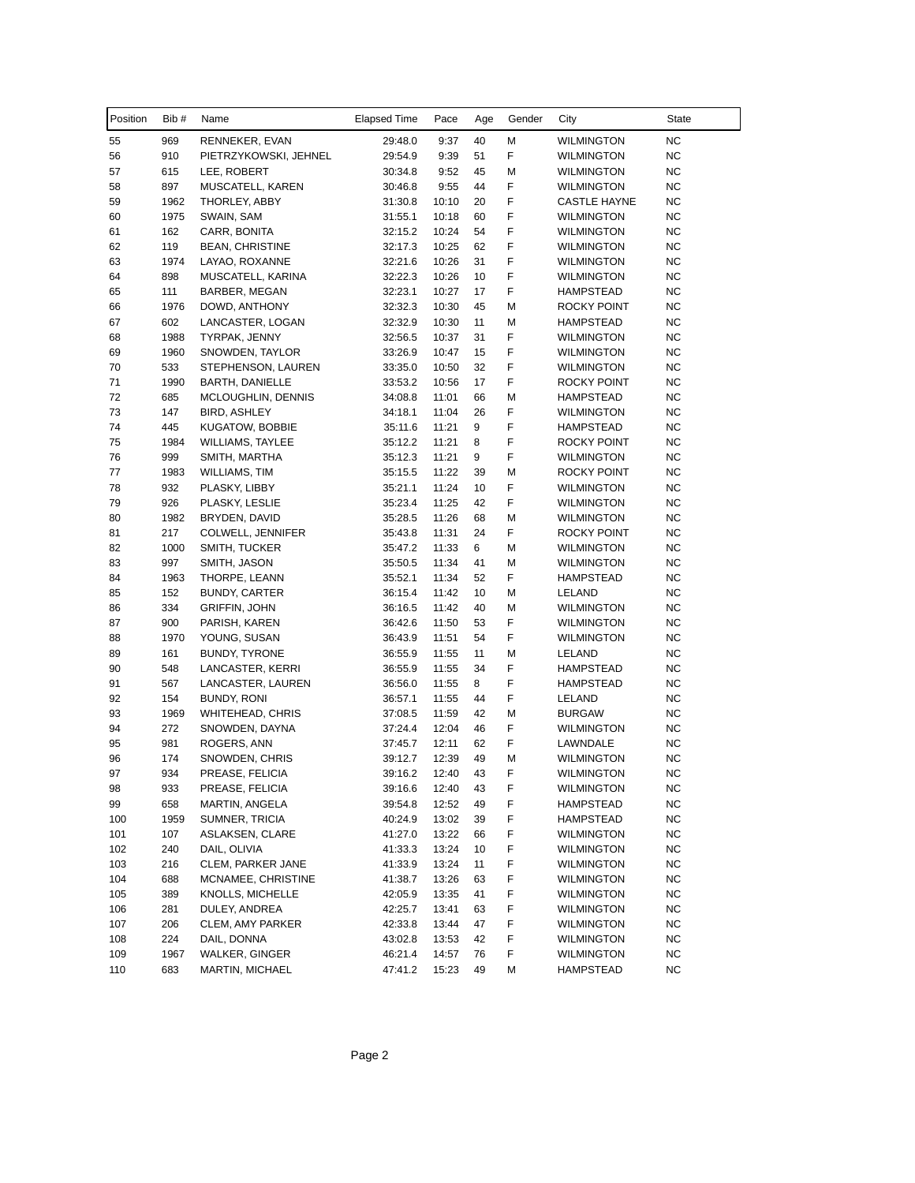| Position | Bib#        | Name                                  | <b>Elapsed Time</b> | Pace           | Age      | Gender | City                | State     |
|----------|-------------|---------------------------------------|---------------------|----------------|----------|--------|---------------------|-----------|
| 55       | 969         | RENNEKER, EVAN                        | 29:48.0             | 9:37           | 40       | М      | <b>WILMINGTON</b>   | NC        |
| 56       | 910         | PIETRZYKOWSKI, JEHNEL                 | 29:54.9             | 9:39           | 51       | F      | <b>WILMINGTON</b>   | <b>NC</b> |
| 57       | 615         | LEE, ROBERT                           | 30:34.8             | 9:52           | 45       | M      | <b>WILMINGTON</b>   | NC        |
| 58       | 897         | MUSCATELL, KAREN                      | 30:46.8             | 9:55           | 44       | F      | <b>WILMINGTON</b>   | NC        |
| 59       | 1962        | THORLEY, ABBY                         | 31:30.8             | 10:10          | 20       | F      | <b>CASTLE HAYNE</b> | <b>NC</b> |
| 60       | 1975        | SWAIN, SAM                            | 31:55.1             | 10:18          | 60       | F      | <b>WILMINGTON</b>   | <b>NC</b> |
| 61       | 162         | CARR, BONITA                          | 32:15.2             | 10:24          | 54       | F      | <b>WILMINGTON</b>   | NC        |
| 62       | 119         | <b>BEAN, CHRISTINE</b>                | 32:17.3             | 10:25          | 62       | F      | <b>WILMINGTON</b>   | <b>NC</b> |
| 63       | 1974        | LAYAO, ROXANNE                        | 32:21.6             | 10:26          | 31       | F      | <b>WILMINGTON</b>   | <b>NC</b> |
| 64       | 898         | MUSCATELL, KARINA                     | 32:22.3             | 10:26          | 10       | F      | <b>WILMINGTON</b>   | NC        |
| 65       | 111         | BARBER, MEGAN                         | 32:23.1             | 10:27          | 17       | F      | HAMPSTEAD           | NC        |
| 66       | 1976        | DOWD, ANTHONY                         | 32:32.3             | 10:30          | 45       | M      | ROCKY POINT         | <b>NC</b> |
| 67       | 602         | LANCASTER, LOGAN                      | 32:32.9             | 10:30          | 11       | M      | <b>HAMPSTEAD</b>    | <b>NC</b> |
| 68       | 1988        | TYRPAK, JENNY                         | 32:56.5             | 10:37          | 31       | F      | <b>WILMINGTON</b>   | NC        |
| 69       | 1960        | SNOWDEN, TAYLOR                       | 33:26.9             | 10:47          | 15       | F      | <b>WILMINGTON</b>   | <b>NC</b> |
| 70       | 533         | STEPHENSON, LAUREN                    | 33:35.0             | 10:50          | 32       | F      | <b>WILMINGTON</b>   | NC        |
| 71       | 1990        | <b>BARTH, DANIELLE</b>                | 33:53.2             | 10:56          | 17       | F      | ROCKY POINT         | NC        |
| 72       | 685         | MCLOUGHLIN, DENNIS                    | 34:08.8             | 11:01          | 66       | M      | HAMPSTEAD           | <b>NC</b> |
| 73       | 147         | <b>BIRD, ASHLEY</b>                   | 34:18.1             | 11:04          | 26       | F      | <b>WILMINGTON</b>   | <b>NC</b> |
| 74       | 445         | KUGATOW, BOBBIE                       | 35:11.6             | 11:21          | 9        | F      | <b>HAMPSTEAD</b>    | <b>NC</b> |
| 75       | 1984        | <b>WILLIAMS, TAYLEE</b>               | 35:12.2             | 11:21          | 8        | F      | ROCKY POINT         | <b>NC</b> |
| 76       | 999         | SMITH, MARTHA                         | 35:12.3             | 11:21          | 9        | F      | <b>WILMINGTON</b>   | NC        |
| 77       | 1983        | WILLIAMS, TIM                         | 35:15.5             | 11:22          | 39       | М      | ROCKY POINT         | NC        |
| 78       | 932         | PLASKY, LIBBY                         | 35:21.1             | 11:24          | 10       | F      | <b>WILMINGTON</b>   | <b>NC</b> |
| 79       | 926         | PLASKY, LESLIE                        | 35:23.4             | 11:25          | 42       | F      | <b>WILMINGTON</b>   | <b>NC</b> |
| 80       | 1982        | BRYDEN, DAVID                         | 35:28.5             | 11:26          | 68       | М      | <b>WILMINGTON</b>   | NC        |
| 81       | 217         | COLWELL, JENNIFER                     | 35:43.8             | 11:31          | 24       | F      | <b>ROCKY POINT</b>  | <b>NC</b> |
| 82       | 1000        | SMITH, TUCKER                         | 35:47.2             | 11:33          | 6        | M      | <b>WILMINGTON</b>   | NC        |
| 83       | 997         | SMITH, JASON                          | 35:50.5             | 11:34          | 41       | M      | <b>WILMINGTON</b>   | NC        |
| 84       | 1963        | THORPE, LEANN                         | 35:52.1             | 11:34          | 52       | F      | HAMPSTEAD           | <b>NC</b> |
| 85       | 152         | <b>BUNDY, CARTER</b>                  | 36:15.4             | 11:42          | 10       | M      | LELAND              | NC        |
| 86       | 334         | <b>GRIFFIN, JOHN</b>                  | 36:16.5             | 11:42          | 40       | M      | <b>WILMINGTON</b>   | NC        |
| 87       | 900         | PARISH, KAREN                         | 36:42.6             | 11:50          | 53       | F      | <b>WILMINGTON</b>   | <b>NC</b> |
| 88       | 1970        | YOUNG, SUSAN                          | 36:43.9             | 11:51          | 54       | F      | <b>WILMINGTON</b>   | NC        |
| 89       | 161         | <b>BUNDY, TYRONE</b>                  | 36:55.9             | 11:55          | 11       | M      | LELAND              | NC        |
| 90       | 548         |                                       | 36:55.9             | 11:55          | 34       | F      | <b>HAMPSTEAD</b>    | NC        |
| 91       | 567         | LANCASTER, KERRI<br>LANCASTER, LAUREN | 36:56.0             | 11:55          | 8        | F      | <b>HAMPSTEAD</b>    | <b>NC</b> |
|          |             |                                       |                     |                |          | F      |                     |           |
| 92<br>93 | 154<br>1969 | BUNDY, RONI                           | 36:57.1<br>37:08.5  | 11:55<br>11:59 | 44<br>42 | M      | LELAND              | NC<br>NC  |
| 94       | 272         | WHITEHEAD, CHRIS                      | 37:24.4             | 12:04          | 46       | F      | <b>BURGAW</b>       | NC        |
|          |             | SNOWDEN, DAYNA                        |                     |                |          | F      | <b>WILMINGTON</b>   |           |
| 95       | 981         | ROGERS, ANN                           | 37:45.7             | 12:11          | 62       |        | LAWNDALE            | NC        |
| 96       | 174         | SNOWDEN, CHRIS                        | 39:12.7             | 12:39          | 49       | М      | <b>WILMINGTON</b>   | <b>NC</b> |
| 97       | 934         | PREASE, FELICIA                       | 39:16.2             | 12:40          | 43       | F      | WILMINGTON          | $NC$      |
| 98       | 933         | PREASE, FELICIA                       | 39:16.6             | 12:40          | 43       | F      | <b>WILMINGTON</b>   | NC        |
| 99       | 658         | MARTIN, ANGELA                        | 39:54.8             | 12:52          | 49       | F      | HAMPSTEAD           | <b>NC</b> |
| 100      | 1959        | SUMNER, TRICIA                        | 40:24.9             | 13:02          | 39       | F      | HAMPSTEAD           | <b>NC</b> |
| 101      | 107         | ASLAKSEN, CLARE                       | 41:27.0             | 13:22          | 66       | F      | <b>WILMINGTON</b>   | <b>NC</b> |
| 102      | 240         | DAIL, OLIVIA                          | 41:33.3             | 13:24          | 10       | F      | <b>WILMINGTON</b>   | <b>NC</b> |
| 103      | 216         | CLEM, PARKER JANE                     | 41:33.9             | 13:24          | 11       | F      | <b>WILMINGTON</b>   | NC        |
| 104      | 688         | MCNAMEE, CHRISTINE                    | 41:38.7             | 13:26          | 63       | F      | <b>WILMINGTON</b>   | NC        |
| 105      | 389         | KNOLLS, MICHELLE                      | 42:05.9             | 13:35          | 41       | F      | <b>WILMINGTON</b>   | NC        |
| 106      | 281         | DULEY, ANDREA                         | 42:25.7             | 13:41          | 63       | F      | <b>WILMINGTON</b>   | <b>NC</b> |
| 107      | 206         | CLEM, AMY PARKER                      | 42:33.8             | 13:44          | 47       | F      | <b>WILMINGTON</b>   | <b>NC</b> |
| 108      | 224         | DAIL, DONNA                           | 43:02.8             | 13:53          | 42       | F      | <b>WILMINGTON</b>   | NC        |
| 109      | 1967        | WALKER, GINGER                        | 46:21.4             | 14:57          | 76       | F      | <b>WILMINGTON</b>   | <b>NC</b> |
| 110      | 683         | <b>MARTIN, MICHAEL</b>                | 47:41.2             | 15:23          | 49       | М      | HAMPSTEAD           | <b>NC</b> |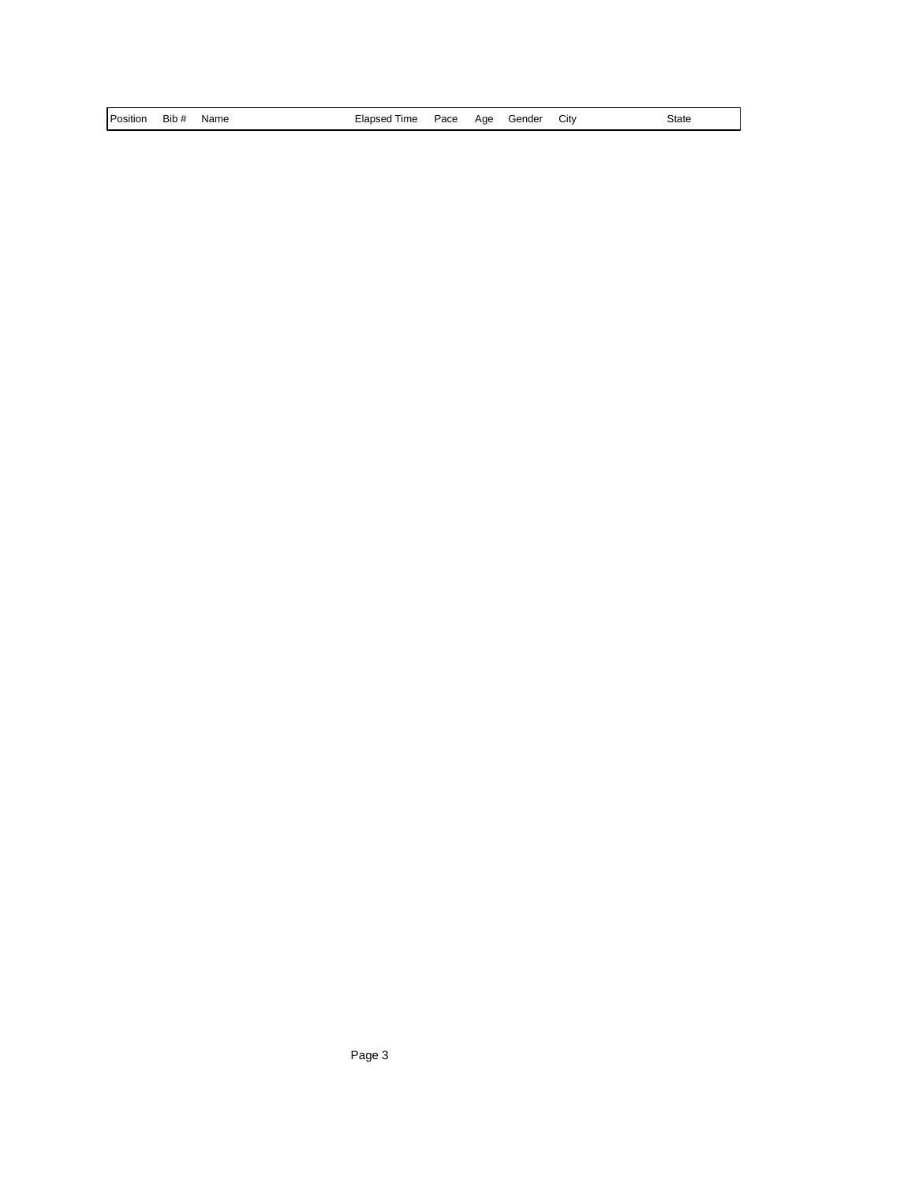| Position<br>Citv<br>Name<br>Pace<br>Aae<br>Gender<br>lapseo<br>Time<br>Bib #<br>-iar<br> | State |
|------------------------------------------------------------------------------------------|-------|
|------------------------------------------------------------------------------------------|-------|